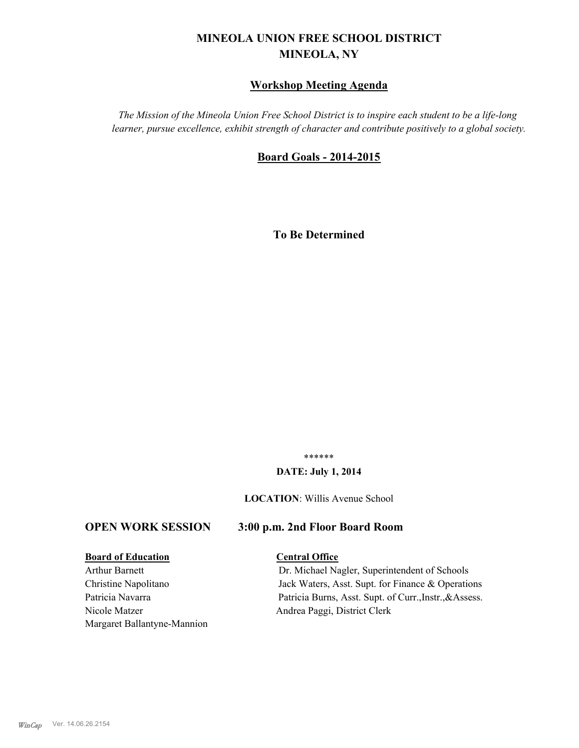# **MINEOLA UNION FREE SCHOOL DISTRICT MINEOLA, NY**

# **Workshop Meeting Agenda**

*The Mission of the Mineola Union Free School District is to inspire each student to be a life-long learner, pursue excellence, exhibit strength of character and contribute positively to a global society.*

## **Board Goals - 2014-2015**

**To Be Determined**

\*\*\*\*\*\*

#### **DATE: July 1, 2014**

**LOCATION**: Willis Avenue School

#### **OPEN WORK SESSION 3:00 p.m. 2nd Floor Board Room**

#### **Board of Education Central Office**

Nicole Matzer Andrea Paggi, District Clerk Margaret Ballantyne-Mannion

Arthur Barnett Dr. Michael Nagler, Superintendent of Schools Christine Napolitano Jack Waters, Asst. Supt. for Finance & Operations Patricia Navarra Patricia Burns, Asst. Supt. of Curr., Instr., & Assess.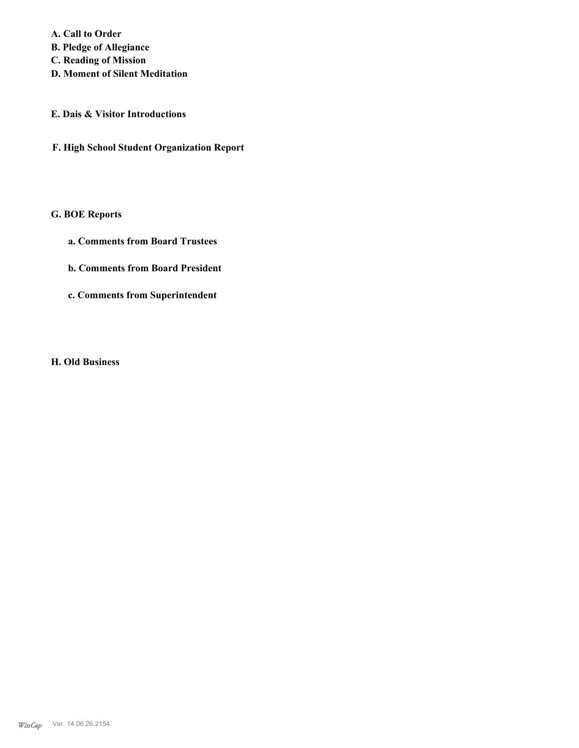**A. Call to Order B. Pledge of Allegiance C. Reading of Mission**

- **D. Moment of Silent Meditation**
- **E. Dais & Visitor Introductions**
- **F. High School Student Organization Report**

# **G. BOE Reports**

- **a. Comments from Board Trustees**
- **b. Comments from Board President**
- **c. Comments from Superintendent**

**H. Old Business**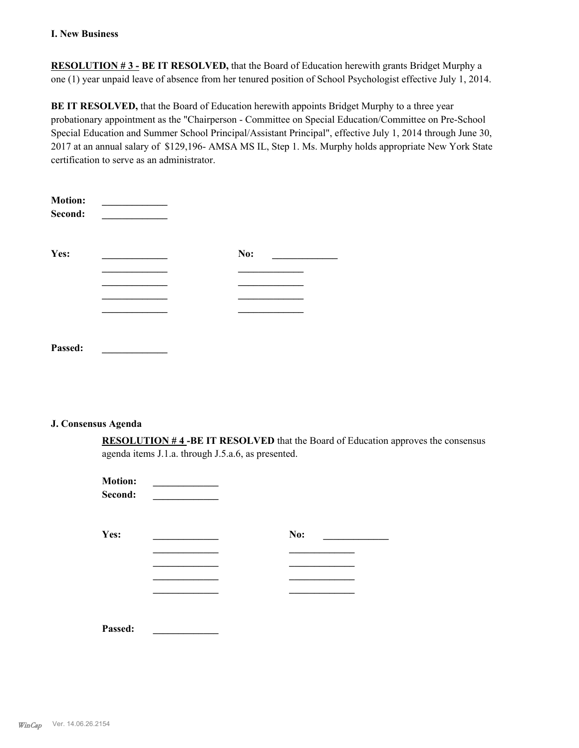#### **I. New Business**

**RESOLUTION # 3 - BE IT RESOLVED,** that the Board of Education herewith grants Bridget Murphy a one (1) year unpaid leave of absence from her tenured position of School Psychologist effective July 1, 2014.

**BE IT RESOLVED,** that the Board of Education herewith appoints Bridget Murphy to a three year probationary appointment as the "Chairperson - Committee on Special Education/Committee on Pre-School Special Education and Summer School Principal/Assistant Principal", effective July 1, 2014 through June 30, 2017 at an annual salary of \$129,196- AMSA MS IL, Step 1. Ms. Murphy holds appropriate New York State certification to serve as an administrator.

| <b>Motion:</b><br>Second: |     |  |
|---------------------------|-----|--|
| Yes:                      | No: |  |
|                           |     |  |
|                           |     |  |
|                           |     |  |
|                           |     |  |
|                           |     |  |
| Passed:                   |     |  |

#### **J. Consensus Agenda**

**RESOLUTION # 4 -BE IT RESOLVED** that the Board of Education approves the consensus agenda items J.1.a. through J.5.a.6, as presented.

| <b>Motion:</b><br>Second: |     |  |
|---------------------------|-----|--|
| Yes:                      | No: |  |
|                           |     |  |
|                           |     |  |
| Passed:                   |     |  |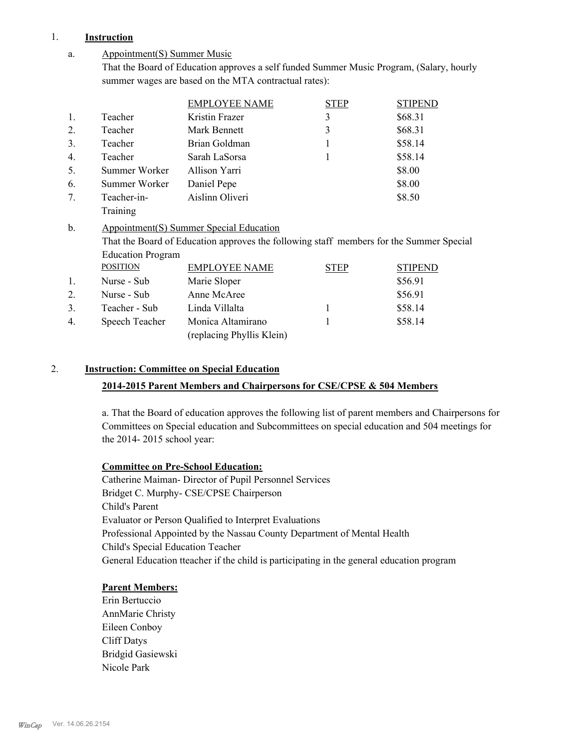#### 1. **Instruction**

#### Appointment(S) Summer Music a.

That the Board of Education approves a self funded Summer Music Program, (Salary, hourly summer wages are based on the MTA contractual rates):

|                  |                          | <b>EMPLOYEE NAME</b>                                                                    | <b>STEP</b> | <b>STIPEND</b> |
|------------------|--------------------------|-----------------------------------------------------------------------------------------|-------------|----------------|
| 1.               | Teacher                  | Kristin Frazer                                                                          | 3           | \$68.31        |
| 2.               | Teacher                  | Mark Bennett                                                                            | 3           | \$68.31        |
| 3.               | Teacher                  | Brian Goldman                                                                           | 1           | \$58.14        |
| 4.               | Teacher                  | Sarah LaSorsa                                                                           |             | \$58.14        |
| 5.               | Summer Worker            | Allison Yarri                                                                           |             | \$8.00         |
| 6.               | Summer Worker            | Daniel Pepe                                                                             |             | \$8.00         |
| $7_{\cdot}$      | Teacher-in-              | Aislinn Oliveri                                                                         |             | \$8.50         |
|                  | Training                 |                                                                                         |             |                |
|                  |                          |                                                                                         |             |                |
| $b$ .            |                          | Appointment(S) Summer Special Education                                                 |             |                |
|                  |                          | That the Board of Education approves the following staff members for the Summer Special |             |                |
|                  | <b>Education Program</b> |                                                                                         |             |                |
|                  | <b>POSITION</b>          | <b>EMPLOYEE NAME</b>                                                                    | <b>STEP</b> | <b>STIPEND</b> |
| 1.               | Nurse - Sub              | Marie Sloper                                                                            |             | \$56.91        |
| $\overline{2}$ . | Nurse - Sub              | Anne McAree                                                                             |             | \$56.91        |
| 3.               | Teacher - Sub            | Linda Villalta                                                                          | 1           | \$58.14        |
| 4.               | Speech Teacher           | Monica Altamirano                                                                       |             | \$58.14        |

# 2. **Instruction: Committee on Special Education**

#### **2014-2015 Parent Members and Chairpersons for CSE/CPSE & 504 Members**

a. That the Board of education approves the following list of parent members and Chairpersons for Committees on Special education and Subcommittees on special education and 504 meetings for the 2014- 2015 school year:

#### **Committee on Pre-School Education:**

Catherine Maiman- Director of Pupil Personnel Services Bridget C. Murphy- CSE/CPSE Chairperson Child's Parent Evaluator or Person Qualified to Interpret Evaluations Professional Appointed by the Nassau County Department of Mental Health Child's Special Education Teacher General Education tteacher if the child is participating in the general education program

#### **Parent Members:**

Erin Bertuccio AnnMarie Christy Eileen Conboy Cliff Datys Bridgid Gasiewski Nicole Park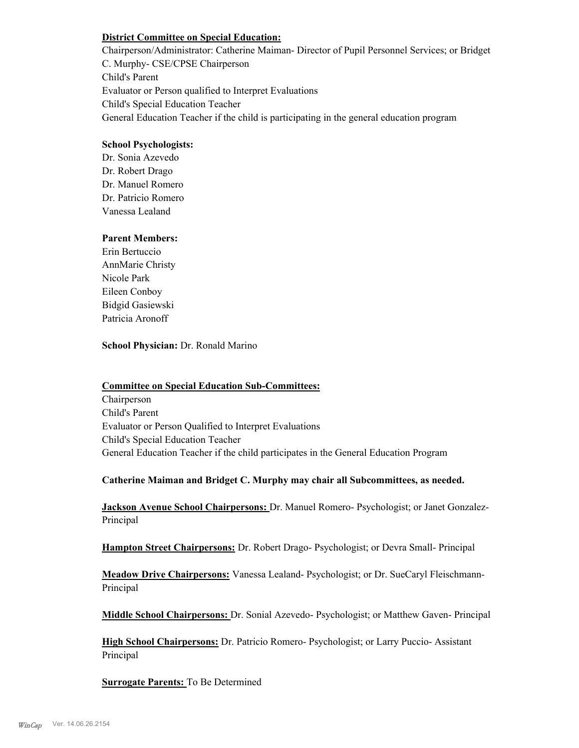#### **District Committee on Special Education:**

Chairperson/Administrator: Catherine Maiman- Director of Pupil Personnel Services; or Bridget C. Murphy- CSE/CPSE Chairperson Child's Parent Evaluator or Person qualified to Interpret Evaluations Child's Special Education Teacher General Education Teacher if the child is participating in the general education program

## **School Psychologists:**

Dr. Sonia Azevedo Dr. Robert Drago Dr. Manuel Romero Dr. Patricio Romero Vanessa Lealand

#### **Parent Members:**

Erin Bertuccio AnnMarie Christy Nicole Park Eileen Conboy Bidgid Gasiewski Patricia Aronoff

**School Physician:** Dr. Ronald Marino

#### **Committee on Special Education Sub-Committees:**

Chairperson Child's Parent Evaluator or Person Qualified to Interpret Evaluations Child's Special Education Teacher General Education Teacher if the child participates in the General Education Program

#### **Catherine Maiman and Bridget C. Murphy may chair all Subcommittees, as needed.**

**Jackson Avenue School Chairpersons:** Dr. Manuel Romero- Psychologist; or Janet Gonzalez-Principal

**Hampton Street Chairpersons:** Dr. Robert Drago- Psychologist; or Devra Small- Principal

**Meadow Drive Chairpersons:** Vanessa Lealand- Psychologist; or Dr. SueCaryl Fleischmann-Principal

**Middle School Chairpersons:** Dr. Sonial Azevedo- Psychologist; or Matthew Gaven- Principal

**High School Chairpersons:** Dr. Patricio Romero- Psychologist; or Larry Puccio- Assistant Principal

**Surrogate Parents:** To Be Determined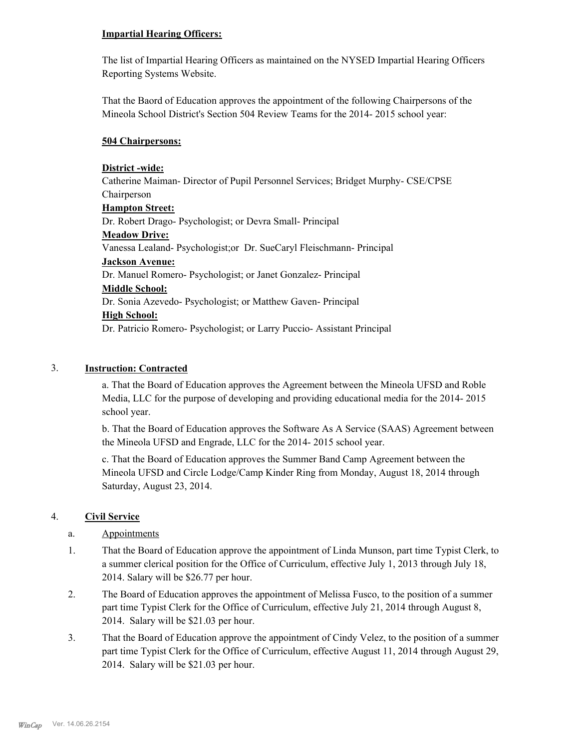#### **Impartial Hearing Officers:**

The list of Impartial Hearing Officers as maintained on the NYSED Impartial Hearing Officers Reporting Systems Website.

That the Baord of Education approves the appointment of the following Chairpersons of the Mineola School District's Section 504 Review Teams for the 2014- 2015 school year:

## **504 Chairpersons:**

## **District -wide:**

Catherine Maiman- Director of Pupil Personnel Services; Bridget Murphy- CSE/CPSE Chairperson **Hampton Street:** Dr. Robert Drago- Psychologist; or Devra Small- Principal **Meadow Drive:** Vanessa Lealand- Psychologist;or Dr. SueCaryl Fleischmann- Principal **Jackson Avenue:** Dr. Manuel Romero- Psychologist; or Janet Gonzalez- Principal **Middle School:** Dr. Sonia Azevedo- Psychologist; or Matthew Gaven- Principal **High School:** Dr. Patricio Romero- Psychologist; or Larry Puccio- Assistant Principal

# 3. **Instruction: Contracted**

a. That the Board of Education approves the Agreement between the Mineola UFSD and Roble Media, LLC for the purpose of developing and providing educational media for the 2014- 2015 school year.

b. That the Board of Education approves the Software As A Service (SAAS) Agreement between the Mineola UFSD and Engrade, LLC for the 2014- 2015 school year.

c. That the Board of Education approves the Summer Band Camp Agreement between the Mineola UFSD and Circle Lodge/Camp Kinder Ring from Monday, August 18, 2014 through Saturday, August 23, 2014.

# 4. **Civil Service**

# a. Appointments

- That the Board of Education approve the appointment of Linda Munson, part time Typist Clerk, to a summer clerical position for the Office of Curriculum, effective July 1, 2013 through July 18, 2014. Salary will be \$26.77 per hour. 1.
- The Board of Education approves the appointment of Melissa Fusco, to the position of a summer part time Typist Clerk for the Office of Curriculum, effective July 21, 2014 through August 8, 2014. Salary will be \$21.03 per hour. 2.
- That the Board of Education approve the appointment of Cindy Velez, to the position of a summer part time Typist Clerk for the Office of Curriculum, effective August 11, 2014 through August 29, 2014. Salary will be \$21.03 per hour. 3.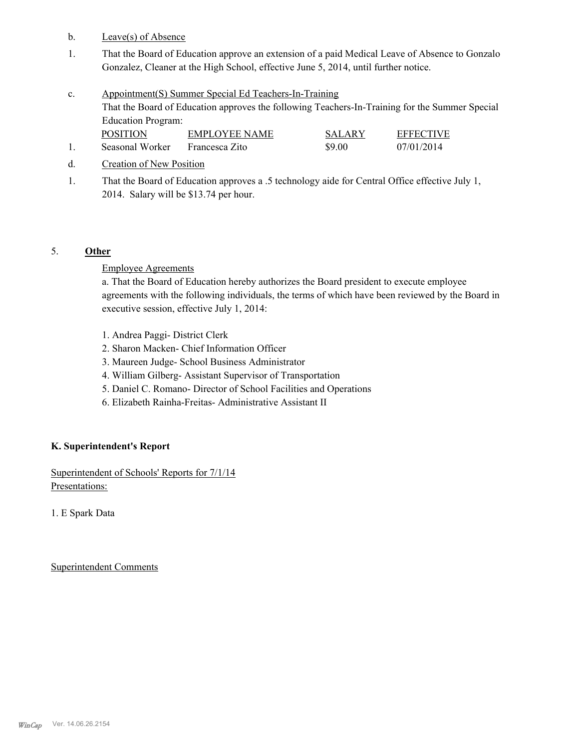- b. Leave(s) of Absence
- That the Board of Education approve an extension of a paid Medical Leave of Absence to Gonzalo Gonzalez, Cleaner at the High School, effective June 5, 2014, until further notice. 1.
- Appointment(S) Summer Special Ed Teachers-In-Training That the Board of Education approves the following Teachers-In-Training for the Summer Special Education Program: c. POSITION EMPLOYEE NAME SALARY EFFECTIVE
- 1. Seasonal Worker Francesca Zito \$9.00 07/01/2014
- d. Creation of New Position
- That the Board of Education approves a .5 technology aide for Central Office effective July 1, 2014. Salary will be \$13.74 per hour. 1.

# 5. **Other**

#### Employee Agreements

a. That the Board of Education hereby authorizes the Board president to execute employee agreements with the following individuals, the terms of which have been reviewed by the Board in executive session, effective July 1, 2014:

- 1. Andrea Paggi- District Clerk
- 2. Sharon Macken- Chief Information Officer
- 3. Maureen Judge- School Business Administrator
- 4. William Gilberg- Assistant Supervisor of Transportation
- 5. Daniel C. Romano- Director of School Facilities and Operations
- 6. Elizabeth Rainha-Freitas- Administrative Assistant II

#### **K. Superintendent's Report**

Superintendent of Schools' Reports for 7/1/14 Presentations:

1. E Spark Data

Superintendent Comments